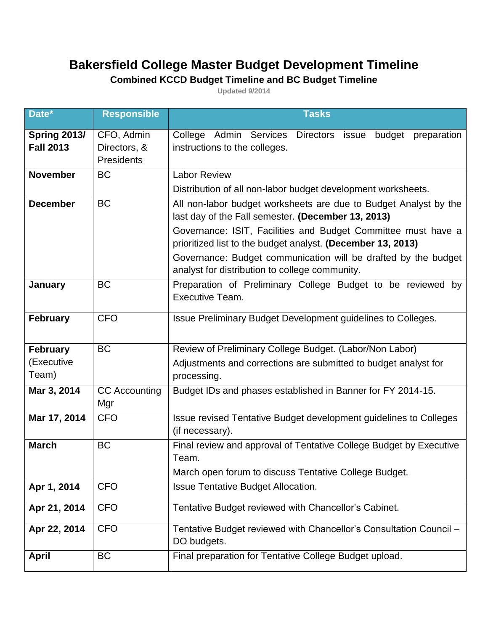## **Bakersfield College Master Budget Development Timeline**

## **Combined KCCD Budget Timeline and BC Budget Timeline**

**Updated 9/2014**

| Date*                                   | Responsible                                     | <b>Tasks</b>                                                                                                                                                                                                                                                                                                                                                               |
|-----------------------------------------|-------------------------------------------------|----------------------------------------------------------------------------------------------------------------------------------------------------------------------------------------------------------------------------------------------------------------------------------------------------------------------------------------------------------------------------|
| <b>Spring 2013/</b><br><b>Fall 2013</b> | CFO, Admin<br>Directors, &<br><b>Presidents</b> | College Admin Services Directors issue budget<br>preparation<br>instructions to the colleges.                                                                                                                                                                                                                                                                              |
| <b>November</b>                         | <b>BC</b>                                       | <b>Labor Review</b><br>Distribution of all non-labor budget development worksheets.                                                                                                                                                                                                                                                                                        |
| <b>December</b>                         | <b>BC</b>                                       | All non-labor budget worksheets are due to Budget Analyst by the<br>last day of the Fall semester. (December 13, 2013)<br>Governance: ISIT, Facilities and Budget Committee must have a<br>prioritized list to the budget analyst. (December 13, 2013)<br>Governance: Budget communication will be drafted by the budget<br>analyst for distribution to college community. |
| January                                 | <b>BC</b>                                       | Preparation of Preliminary College Budget to be reviewed by<br>Executive Team.                                                                                                                                                                                                                                                                                             |
| <b>February</b>                         | <b>CFO</b>                                      | Issue Preliminary Budget Development guidelines to Colleges.                                                                                                                                                                                                                                                                                                               |
| <b>February</b><br>(Executive<br>Team)  | <b>BC</b>                                       | Review of Preliminary College Budget. (Labor/Non Labor)<br>Adjustments and corrections are submitted to budget analyst for<br>processing.                                                                                                                                                                                                                                  |
| Mar 3, 2014                             | <b>CC</b> Accounting<br>Mgr                     | Budget IDs and phases established in Banner for FY 2014-15.                                                                                                                                                                                                                                                                                                                |
| Mar 17, 2014                            | <b>CFO</b>                                      | Issue revised Tentative Budget development guidelines to Colleges<br>(if necessary).                                                                                                                                                                                                                                                                                       |
| <b>March</b>                            | <b>BC</b>                                       | Final review and approval of Tentative College Budget by Executive<br>Team.<br>March open forum to discuss Tentative College Budget.                                                                                                                                                                                                                                       |
| Apr 1, 2014                             | <b>CFO</b>                                      | <b>Issue Tentative Budget Allocation.</b>                                                                                                                                                                                                                                                                                                                                  |
| Apr 21, 2014                            | <b>CFO</b>                                      | Tentative Budget reviewed with Chancellor's Cabinet.                                                                                                                                                                                                                                                                                                                       |
| Apr 22, 2014                            | <b>CFO</b>                                      | Tentative Budget reviewed with Chancellor's Consultation Council -<br>DO budgets.                                                                                                                                                                                                                                                                                          |
| <b>April</b>                            | <b>BC</b>                                       | Final preparation for Tentative College Budget upload.                                                                                                                                                                                                                                                                                                                     |